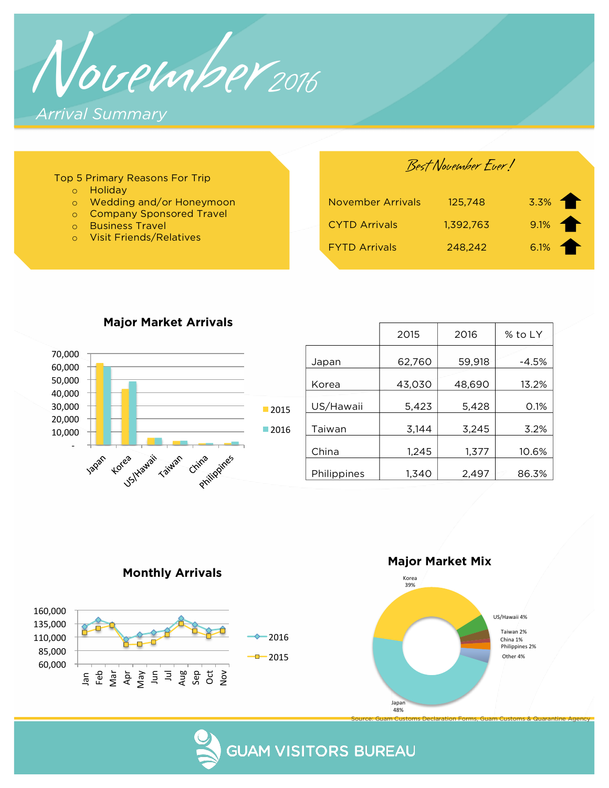November<sub>2016</sub> *Arrival Summary* 

#### Top 5 Primary Reasons For Trip

- o Holiday
- o Wedding and/or Honeymoon
- o Company Sponsored Travel
- o Business Travel
- o Visit Friends/Relatives

Best November Ever!

| <b>November Arrivals</b> | 125.748   | 3.3%    |
|--------------------------|-----------|---------|
| <b>CYTD Arrivals</b>     | 1,392,763 | $9.1\%$ |
| <b>FYTD Arrivals</b>     | 248.242   | 6.1%    |



**Major Market Arrivals** 

|             | 2015   | 2016   | % to LY |
|-------------|--------|--------|---------|
| Japan       | 62,760 | 59,918 | $-4.5%$ |
| Korea       | 43,030 | 48,690 | 13.2%   |
| US/Hawaii   | 5,423  | 5,428  | 0.1%    |
| Taiwan      | 3,144  | 3,245  | 3.2%    |
| China       | 1,245  | 1,377  | 10.6%   |
| Philippines | 1,340  | 2,497  | 86.3%   |

**Monthly Arrivals** 



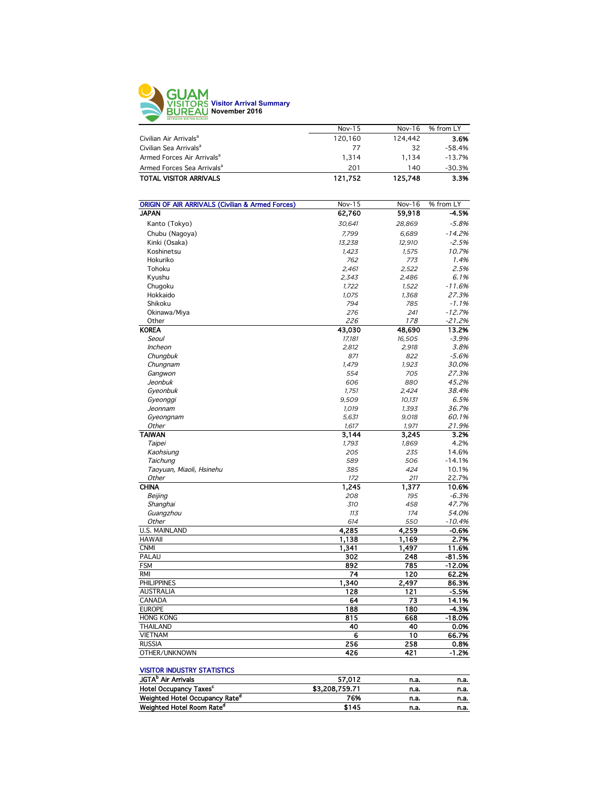

|                                        | Nov- $15$ | Nov-16  | % from LY |
|----------------------------------------|-----------|---------|-----------|
| Civilian Air Arrivals <sup>a</sup>     | 120,160   | 124.442 | 3.6%      |
| Civilian Sea Arrivals <sup>a</sup>     | 77        | 32      | $-58.4%$  |
| Armed Forces Air Arrivals <sup>a</sup> | 1.314     | 1.134   | $-13.7%$  |
| Armed Forces Sea Arrivals <sup>a</sup> | 201       | 140     | $-30.3%$  |
| <b>TOTAL VISITOR ARRIVALS</b>          | 121,752   | 125,748 | 3.3%      |
|                                        |           |         |           |

| <b>ORIGIN OF AIR ARRIVALS (Civilian &amp; Armed Forces)</b> | Nov-15 | Nov-16 | % from LY |
|-------------------------------------------------------------|--------|--------|-----------|
| <b>JAPAN</b>                                                | 62,760 | 59,918 | -4.5%     |
| Kanto (Tokyo)                                               | 30,641 | 28,869 | $-5.8%$   |
| Chubu (Nagoya)                                              | 7,799  | 6,689  | $-14.2%$  |
| Kinki (Osaka)                                               | 13,238 | 12.910 | $-2.5%$   |
| Koshinetsu                                                  | 1,423  | 1,575  | 10.7%     |
| Hokuriko                                                    | 762    | 773    | 1.4%      |
| Tohoku                                                      | 2,461  | 2,522  | 2.5%      |
| Kyushu                                                      | 2,343  | 2,486  | 6.1%      |
| Chugoku                                                     | 1,722  | 1,522  | $-11.6%$  |
| Hokkaido                                                    | 1,075  | 1,368  | 27.3%     |
| Shikoku                                                     | 794    | 785    | $-1.1%$   |
| Okinawa/Miya                                                | 276    | 241    | $-12.7%$  |
| Other                                                       | 226    | 178    | $-21.2%$  |
| <b>KOREA</b>                                                | 43,030 | 48,690 | 13.2%     |
| Seoul                                                       | 17,181 | 16,505 | $-3.9%$   |
| <b>Incheon</b>                                              | 2,812  | 2,918  | 3.8%      |
| Chungbuk                                                    | 871    | 822    | $-5.6%$   |
| Chungnam                                                    | 1,479  | 1,923  | 30.0%     |
| Gangwon                                                     | 554    | 705    | 27.3%     |
| Jeonbuk                                                     | 606    | 880    | 45.2%     |
| Gyeonbuk                                                    | 1,751  | 2,424  | 38.4%     |
| Gyeonggi                                                    | 9,509  | 10,131 | 6.5%      |
| Jeonnam                                                     | 1,019  | 1,393  | 36.7%     |
| Gyeongnam                                                   | 5,631  | 9,018  | 60.1%     |
| Other                                                       | 1,617  | 1,971  | 21.9%     |
| <b>TAIWAN</b>                                               | 3,144  | 3,245  | 3.2%      |
| Taipei                                                      | 1,793  | 1,869  | 4.2%      |
| Kaohsiung                                                   | 205    | 235    | 14.6%     |
| Taichung                                                    | 589    | 506    | $-14.1%$  |
| Taoyuan, Miaoli, Hsinehu                                    | 385    | 424    | 10.1%     |
| Other                                                       | 172    | 211    | 22.7%     |
| <b>CHINA</b>                                                | 1,245  | 1,377  | 10.6%     |
| Beijing                                                     | 208    | 195    | $-6.3%$   |
| Shanghai                                                    | 310    | 458    | 47.7%     |
| Guangzhou                                                   | 113    | 174    | 54.0%     |
| Other                                                       | 614    | 550    | $-10.4%$  |
| <b>U.S. MAINLAND</b>                                        | 4.285  | 4,259  | $-0.6%$   |
| <b>HAWAII</b>                                               | 1,138  | 1,169  | 2.7%      |
| <b>CNMI</b>                                                 | 1,341  | 1,497  | 11.6%     |
| PALAU                                                       | 302    | 248    | -81.5%    |
| <b>FSM</b>                                                  | 892    | 785    | $-12.0%$  |
| <b>RMI</b>                                                  | 74     | 120    | 62.2%     |
| <b>PHILIPPINES</b>                                          | 1,340  | 2,497  | 86.3%     |
| <b>AUSTRALIA</b>                                            | 128    | 121    | $-5.5%$   |
| CANADA                                                      | 64     | 73     | 14.1%     |
| <b>EUROPE</b>                                               | 188    | 180    | $-4.3%$   |
| <b>HONG KONG</b>                                            | 815    | 668    | $-18.0%$  |
| <b>THAILAND</b>                                             | 40     | 40     | 0.0%      |
| <b>VIETNAM</b>                                              | 6      | 10     | 66.7%     |
| <b>RUSSIA</b>                                               | 256    | 258    | 0.8%      |
| OTHER/UNKNOWN                                               | 426    | 421    | $-1.2%$   |

#### VISITOR INDUSTRY STATISTICS

| 57.012         | n.a. | n.a. |
|----------------|------|------|
| \$3,208,759.71 | n.a. | n.a. |
| 76%            | n.a. | n.a. |
| \$145          | n.a. | n.a. |
|                |      |      |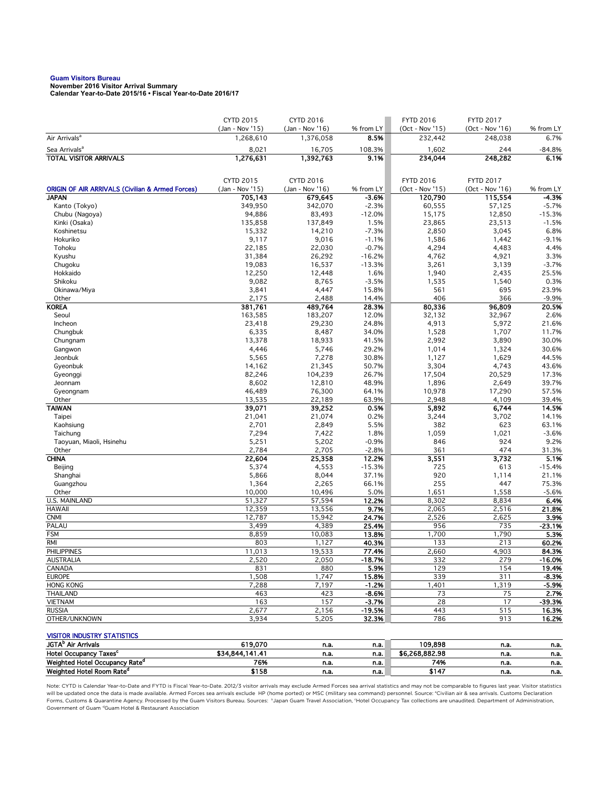# **Guam Visitors Bureau November 2016 Visitor Arrival Summary**

**Calendar Year-to-Date 2015/16 • Fiscal Year-to-Date 2016/17** 

|                                                                             | <b>CYTD 2015</b>               | CYTD 2016                    |                      | <b>FYTD 2016</b>           | <b>FYTD 2017</b>           |                    |
|-----------------------------------------------------------------------------|--------------------------------|------------------------------|----------------------|----------------------------|----------------------------|--------------------|
| Air Arrivals <sup>a</sup>                                                   | (Jan - Nov '15)<br>1,268,610   | (Jan - Nov '16)<br>1,376,058 | % from LY<br>8.5%    | (Oct - Nov '15)<br>232,442 | (Oct - Nov '16)<br>248,038 | % from LY<br>6.7%  |
| Sea Arrivals <sup>a</sup>                                                   | 8,021                          | 16,705                       | 108.3%               | 1,602                      | 244                        | $-84.8%$           |
| <b>TOTAL VISITOR ARRIVALS</b>                                               | 1,276,631                      | 1,392,763                    | 9.1%                 | 234,044                    | 248,282                    | 6.1%               |
|                                                                             |                                |                              |                      |                            |                            |                    |
|                                                                             |                                |                              |                      |                            |                            |                    |
|                                                                             | CYTD 2015<br>$(Jan - Nov '15)$ | <b>CYTD 2016</b>             |                      | <b>FYTD 2016</b>           | <b>FYTD 2017</b>           |                    |
| <b>ORIGIN OF AIR ARRIVALS (Civilian &amp; Armed Forces)</b><br><b>JAPAN</b> | 705,143                        | (Jan - Nov '16)<br>679,645   | % from LY<br>$-3.6%$ | (Oct - Nov '15)<br>120,790 | (Oct - Nov '16)<br>115,554 | % from LY<br>-4.3% |
| Kanto (Tokyo)                                                               | 349,950                        | 342,070                      | $-2.3%$              | 60,555                     | 57,125                     | $-5.7%$            |
| Chubu (Nagoya)                                                              | 94,886                         | 83,493                       | $-12.0%$             | 15,175                     | 12,850                     | $-15.3%$           |
| Kinki (Osaka)                                                               | 135,858                        | 137,849                      | 1.5%                 | 23,865                     | 23,513                     | $-1.5%$            |
| Koshinetsu                                                                  | 15,332                         | 14,210                       | $-7.3%$              | 2,850                      | 3,045                      | 6.8%               |
| Hokuriko                                                                    | 9,117                          | 9,016                        | $-1.1%$              | 1,586                      | 1,442                      | $-9.1%$            |
| Tohoku                                                                      | 22,185                         | 22,030                       | $-0.7%$              | 4,294                      | 4,483                      | 4.4%               |
| Kyushu                                                                      | 31,384                         | 26,292                       | $-16.2%$             | 4,762                      | 4,921                      | 3.3%               |
| Chugoku                                                                     | 19,083                         | 16,537                       | $-13.3%$             | 3,261                      | 3,139                      | $-3.7%$            |
| Hokkaido                                                                    | 12,250                         | 12,448                       | 1.6%                 | 1,940                      | 2,435                      | 25.5%              |
| Shikoku                                                                     | 9,082                          | 8,765                        | $-3.5%$              | 1,535                      | 1,540                      | 0.3%               |
| Okinawa/Miya<br>Other                                                       | 3,841<br>2,175                 | 4,447<br>2,488               | 15.8%<br>14.4%       | 561<br>406                 | 695<br>366                 | 23.9%<br>$-9.9%$   |
| <b>KOREA</b>                                                                | 381,761                        | 489,764                      | 28.3%                | 80,336                     | 96,809                     | 20.5%              |
| Seoul                                                                       | 163,585                        | 183,207                      | 12.0%                | 32,132                     | 32,967                     | 2.6%               |
| Incheon                                                                     | 23,418                         | 29,230                       | 24.8%                | 4,913                      | 5,972                      | 21.6%              |
| Chungbuk                                                                    | 6,335                          | 8,487                        | 34.0%                | 1,528                      | 1,707                      | 11.7%              |
| Chungnam                                                                    | 13,378                         | 18,933                       | 41.5%                | 2,992                      | 3,890                      | 30.0%              |
| Gangwon                                                                     | 4,446                          | 5,746                        | 29.2%                | 1,014                      | 1,324                      | 30.6%              |
| Jeonbuk                                                                     | 5,565                          | 7,278                        | 30.8%                | 1,127                      | 1,629                      | 44.5%              |
| Gyeonbuk                                                                    | 14,162                         | 21,345                       | 50.7%                | 3,304                      | 4,743                      | 43.6%              |
| Gyeonggi                                                                    | 82,246                         | 104,239                      | 26.7%                | 17,504                     | 20,529                     | 17.3%              |
| Jeonnam                                                                     | 8,602                          | 12,810                       | 48.9%                | 1,896                      | 2,649                      | 39.7%              |
| Gyeongnam                                                                   | 46,489                         | 76,300                       | 64.1%                | 10,978                     | 17,290                     | 57.5%              |
| Other                                                                       | 13,535                         | 22,189                       | 63.9%                | 2,948                      | 4,109                      | 39.4%              |
| <b>TAIWAN</b><br>Taipei                                                     | 39,071<br>21,041               | 39,252<br>21,074             | 0.5%<br>0.2%         | 5,892<br>3,244             | 6,744<br>3,702             | 14.5%<br>14.1%     |
| Kaohsiung                                                                   | 2,701                          | 2,849                        | 5.5%                 | 382                        | 623                        | 63.1%              |
| Taichung                                                                    | 7,294                          | 7,422                        | 1.8%                 | 1,059                      | 1,021                      | $-3.6%$            |
| Taoyuan, Miaoli, Hsinehu                                                    | 5,251                          | 5,202                        | $-0.9%$              | 846                        | 924                        | 9.2%               |
| Other                                                                       | 2,784                          | 2,705                        | $-2.8%$              | 361                        | 474                        | 31.3%              |
| <b>CHINA</b>                                                                | 22,604                         | 25,358                       | 12.2%                | 3,551                      | 3,732                      | 5.1%               |
| Beijing                                                                     | 5,374                          | 4,553                        | $-15.3%$             | 725                        | 613                        | $-15.4%$           |
| Shanghai                                                                    | 5,866                          | 8,044                        | 37.1%                | 920                        | 1,114                      | 21.1%              |
| Guangzhou                                                                   | 1,364                          | 2,265                        | 66.1%                | 255                        | 447                        | 75.3%              |
| Other                                                                       | 10,000                         | 10,496                       | 5.0%                 | 1,651                      | 1,558                      | $-5.6%$            |
| U.S. MAINLAND                                                               | 51,327                         | 57,594                       | 12.2%                | 8,302                      | 8,834                      | 6.4%               |
| <b>HAWAII</b>                                                               | 12,359                         | 13,556                       | 9.7%                 | 2,065                      | 2,516                      | 21.8%              |
| <b>CNMI</b><br>PALAU                                                        | 12,787<br>3,499                | 15,942<br>4,389              | 24.7%<br>25.4%       | 2,526<br>956               | 2,625<br>735               | 3.9%<br>$-23.1%$   |
| <b>FSM</b>                                                                  | 8,859                          | 10,083                       | 13.8%                | 1,700                      | 1,790                      | 5.3%               |
| RMI                                                                         | 803                            | 1,127                        | 40.3%                | 133                        | 213                        | 60.2%              |
| <b>PHILIPPINES</b>                                                          | 11,013                         | 19,533                       | 77.4%                | 2,660                      | 4,903                      | 84.3%              |
| AUSTRALIA                                                                   | 2,520                          | 2,050                        | -18.7%               | 332                        | 279                        | -16.0%             |
| CANADA                                                                      | 831                            | 880                          | 5.9%                 | 129                        | 154                        | 19.4%              |
| <b>EUROPE</b>                                                               | 1,508                          | 1,747                        | 15.8%                | 339                        | 311                        | $-8.3%$            |
| <b>HONG KONG</b>                                                            | 7,288                          | 7,197                        | $-1.2%$              | 1,401                      | 1,319                      | $-5.9%$            |
| <b>THAILAND</b>                                                             | 463                            | 423                          | $-8.6%$              | 73                         | 75                         | 2.7%               |
| <b>VIETNAM</b>                                                              | 163                            | 157                          | $-3.7%$              | 28                         | 17                         | -39.3%             |
| <b>RUSSIA</b>                                                               | 2,677                          | 2,156                        | $-19.5%$             | 443                        | 515                        | 16.3%              |
| OTHER/UNKNOWN                                                               | 3,934                          | 5,205                        | 32.3%                | 786                        | 913                        | 16.2%              |
| <b>VISITOR INDUSTRY STATISTICS</b>                                          |                                |                              |                      |                            |                            |                    |
| JGTA <sup>b</sup> Air Arrivals                                              | 619,070                        | n.a.                         | n.a.                 | 109,898                    | n.a.                       | n.a.               |
| Hotel Occupancy Taxes <sup>c</sup>                                          | \$34,844,141.41                | n.a.                         | n.a.                 | \$6,268,882.98             | n.a.                       | n.a.               |
| Weighted Hotel Occupancy Rate <sup>d</sup>                                  | 76%                            | n.a.                         | n.a.                 | 74%                        | n.a.                       | n.a.               |
| Weighted Hotel Room Rate <sup>d</sup>                                       | \$158                          | n.a.                         | n.a.                 | \$147                      | n.a.                       | n.a.               |

Note: CYTD is Calendar Year-to-Date and FYTD is Fiscal Year-to-Date. 2012/3 visitor arrivals may exclude Armed Forces sea arrival statistics and may not be comparable to figures last year. Visitor statistics will be updated once the data is made available. Armed Forces sea arrivals exclude HP (home ported) or MSC (military sea command) personnel. Source: °Civilian air & sea arrivals. Customs Declaration<br>Forms, Customs & Quaran Government of Guam dGuam Hotel & Restaurant Association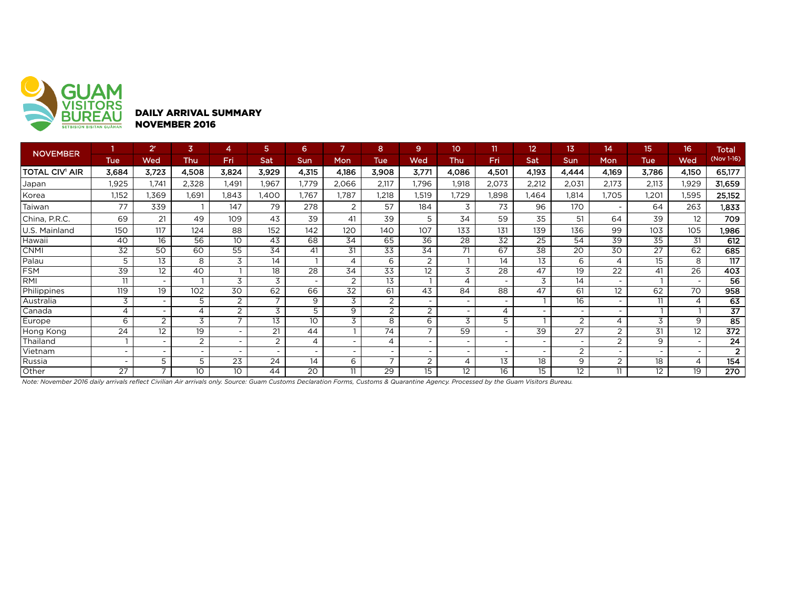

DAILY ARRIVAL SUMMARY NOVEMBER 2016

| <b>NOVEMBER</b> |                | 2 <sup>r</sup>           | $\overline{3}$ | 4                        | 5.                       | 6                        |                          | 8                        | $\overline{9}$           | 10                       | 11                       | 12 <sup>2</sup>          | 13              | 14                       | 15                       | 16 <sup>°</sup>          | <b>Total</b>     |
|-----------------|----------------|--------------------------|----------------|--------------------------|--------------------------|--------------------------|--------------------------|--------------------------|--------------------------|--------------------------|--------------------------|--------------------------|-----------------|--------------------------|--------------------------|--------------------------|------------------|
|                 | <b>Tue</b>     | Wed                      | <b>Thu</b>     | Fri                      | Sat                      | <b>Sun</b>               | Mon                      | <b>Tue</b>               | Wed                      | Thu                      | Fri                      | Sat                      | <b>Sun</b>      | Mon                      | <b>Tue</b>               | Wed                      | (Nov 1-16)       |
| TOTAL CIV' AIR  | 3,684          | 3.723                    | 4,508          | 3,824                    | 3,929                    | 4,315                    | 4,186                    | 3,908                    | 3,771                    | 4,086                    | 4,501                    | 4,193                    | 4,444           | 4,169                    | 3,786                    | 4,150                    | 65,177           |
| Japan           | 1,925          | .741                     | 2,328          | 1.491                    | 1,967                    | 1,779                    | 2,066                    | 2,117                    | .796                     | 1,918                    | 2,073                    | 2,212                    | 2,031           | 2,173                    | 2,113                    | 1,929                    | 31,659           |
| Korea           | 1,152          | .369                     | 1.691          | .843                     | <b>.400</b>              | 1,767                    | ,787                     | 1,218                    | 1,519                    | ,729                     | 1,898                    | l,464                    | 1.814           | 1.705                    | .201                     | 1,595                    | 25,152           |
| Taiwan          | 77             | 339                      |                | 147                      | 79                       | 278                      | $\overline{2}$           | 57                       | 184                      | 3                        | 73                       | 96                       | 170             | $\overline{\phantom{0}}$ | 64                       | 263                      | 1,833            |
| China, P.R.C.   | 69             | 21                       | 49             | 109                      | 43                       | 39                       | 41                       | 39                       | 5                        | 34                       | 59                       | 35                       | 51              | 64                       | 39                       | 12                       | 709              |
| J.S. Mainland   | 150            | 117                      | 124            | 88                       | 152                      | 142                      | 120                      | 140                      | 107                      | 133                      | 131                      | 139                      | 136             | 99                       | 103                      | 105                      | 1,986            |
| Hawaii          | 40             | 16                       | 56             | 10 <sup>°</sup>          | 43                       | 68                       | 34                       | 65                       | 36                       | 28                       | $\overline{32}$          | 25                       | 54              | 39                       | 35                       | 31                       | 612              |
| <b>CNMI</b>     | 32             | 50                       | 60             | $\overline{55}$          | $3\overline{4}$          | 41                       | 31                       | $\overline{33}$          | 34                       | 71                       | 67                       | 38                       | 20              | 30                       | 27                       | 62                       | 685              |
| Palau           | 5              | 13                       | 8              | 3                        | 14                       | $\mathbf{I}$             | 4                        | 6                        | 2                        |                          | 14                       | 13                       | 6               | $\overline{4}$           | 15                       | 8                        | $\overline{117}$ |
| FSM             | 39             | 12                       | 40             |                          | 18                       | 28                       | 34                       | 33                       | 12                       | 3                        | 28                       | 47                       | 19              | $2\overline{2}$          | 41                       | 26                       | 403              |
| <b>RMI</b>      | 11             | $\overline{\phantom{0}}$ |                | 3                        | 3                        | $\overline{\phantom{a}}$ | 2                        | 13                       |                          | 4                        | $\overline{\phantom{0}}$ | 3                        | 14              | $\overline{\phantom{0}}$ |                          | $\overline{\phantom{0}}$ | 56               |
| Philippines     | 119            | 19                       | 102            | 30                       | 62                       | 66                       | $\overline{32}$          | 61                       | 43                       | 84                       | 88                       | 47                       | 61              | 12                       | 62                       | 70                       | 958              |
| Australia       | 3              | ۰                        | 5              | 2                        | $\overline{7}$           | 9                        | 3                        | 2                        | $\overline{\phantom{a}}$ | $\overline{\phantom{a}}$ | $\overline{\phantom{0}}$ |                          | 16              | $\sim$                   | 11                       | 4                        | 63               |
| Canada          | $\overline{4}$ | $\overline{\phantom{0}}$ | 4              | $\overline{2}$           | $\overline{3}$           | $\overline{5}$           | $\overline{9}$           | $\overline{2}$           | $\overline{2}$           | $\overline{\phantom{0}}$ | $\overline{4}$           | $\overline{\phantom{0}}$ | $\overline{a}$  | $\overline{\phantom{0}}$ |                          |                          | $\overline{37}$  |
| Europe          | 6              | $\overline{2}$           | 3              | $\overline{ }$           | 13                       | 10                       | 3                        | 8                        | 6                        | 3                        | 5                        |                          | 2               | 4                        | 3                        | 9                        | 85               |
| Hong Kong       | 24             | 12                       | 19             | $\overline{\phantom{a}}$ | 21                       | 44                       |                          | 74                       | $\overline{7}$           | 59                       | $\overline{\phantom{0}}$ | 39                       | 27              | 2                        | 31                       | 12                       | $\overline{372}$ |
| Thailand        |                |                          | $\overline{2}$ | $\overline{\phantom{a}}$ | 2                        | 4                        | $\overline{\phantom{a}}$ | 4                        | $\overline{\phantom{a}}$ |                          | $\overline{\phantom{0}}$ | -                        |                 | $\overline{2}$           | 9                        |                          | $\overline{24}$  |
| Vietnam         |                |                          |                |                          | $\overline{\phantom{a}}$ | $\overline{\phantom{a}}$ | $\sim$                   | $\overline{\phantom{0}}$ |                          |                          | $\overline{\phantom{0}}$ |                          | 2               |                          | $\overline{\phantom{0}}$ |                          | $\overline{2}$   |
| Russia          |                | 5                        | 5              | 23                       | 24                       | 14                       | 6                        | $\overline{ }$           | $\overline{2}$           | 4                        | 13                       | 18                       | 9               | $\overline{2}$           | 18                       | 4                        | 154              |
| Other           | 27             |                          | 10             | 10 <sup>°</sup>          | 44                       | 20                       | 11                       | 29                       | 15                       | 12                       | 16                       | 15                       | 12 <sup>2</sup> | 11                       | $12 \overline{ }$        | 19                       | 270              |

*Note: November 2016 daily arrivals reflect Civilian Air arrivals only. Source: Guam Customs Declaration Forms, Customs & Quarantine Agency. Processed by the Guam Visitors Bureau.*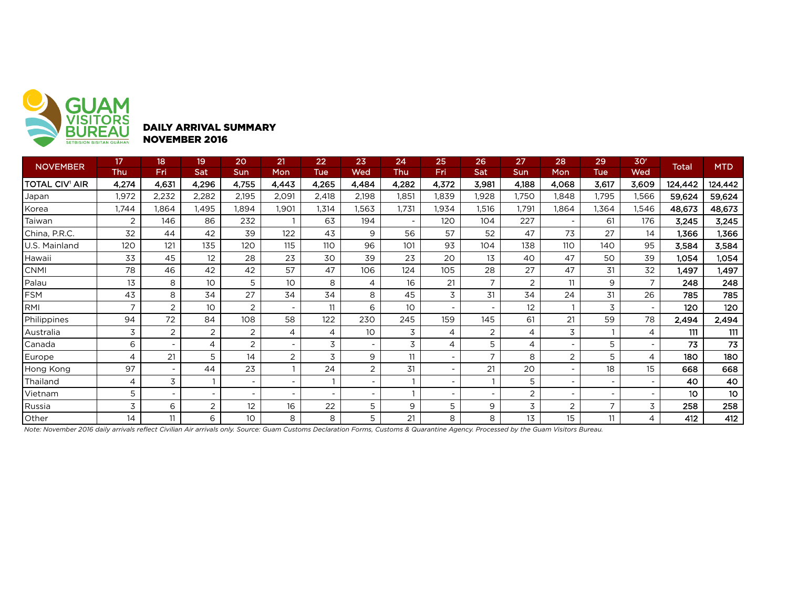

## DAILY ARRIVAL SUMMARY NOVEMBER 2016

| <b>NOVEMBER</b>       | 17             | 18                       | 19              | 20                       | 21                       | 22                       | 23                       | 24                       | 25                       | 26             | 27    | 28                       | 29                       | 30 <sup>r</sup>          |                 | <b>MTD</b> |
|-----------------------|----------------|--------------------------|-----------------|--------------------------|--------------------------|--------------------------|--------------------------|--------------------------|--------------------------|----------------|-------|--------------------------|--------------------------|--------------------------|-----------------|------------|
|                       | Thu            | Fri                      | Sat             | Sun                      | Mon                      | <b>Tue</b>               | Wed                      | <b>Thu</b>               | Fri                      | <b>Sat</b>     | Sun   | Mon                      | <b>Tue</b>               | Wed                      | <b>Total</b>    |            |
| <b>TOTAL CIV' AIR</b> | 4,274          | 4,631                    | 4,296           | 4,755                    | 4,443                    | 4,265                    | 4,484                    | 4,282                    | 4,372                    | 3,981          | 4,188 | 4,068                    | 3,617                    | 3,609                    | 124,442         | 124,442    |
| Japan                 | 1,972          | 2,232                    | 2,282           | 2,195                    | 2,091                    | 2,418                    | 2,198                    | 1,851                    | 1,839                    | 1,928          | 1,750 | 1,848                    | l,795                    | 1,566                    | 59,624          | 59,624     |
| Korea                 | 1,744          | 1,864                    | l,495           | 1,894                    | 1,901                    | 1,314                    | 1,563                    | 1,731                    | 1,934                    | 1,516          | 1,791 | 1,864                    | 1,364                    | 1,546                    | 48,673          | 48,673     |
| Taiwan                | 2              | 146                      | 86              | 232                      |                          | 63                       | 194                      | $\overline{\phantom{a}}$ | 120                      | 104            | 227   | $\overline{\phantom{a}}$ | 61                       | 176                      | 3,245           | 3,245      |
| China, P.R.C.         | 32             | 44                       | 42              | 39                       | 122                      | 43                       | 9                        | 56                       | 57                       | 52             | 47    | 73                       | 27                       | 14                       | 1,366           | 1,366      |
| U.S. Mainland         | 120            | 121                      | 135             | 120                      | 115                      | 110                      | 96                       | 101                      | 93                       | 104            | 138   | 110                      | 140                      | 95                       | 3,584           | 3,584      |
| Hawaii                | 33             | 45                       | 12              | 28                       | 23                       | 30                       | 39                       | 23                       | 20                       | 13             | 40    | 47                       | 50                       | 39                       | 1.054           | 1,054      |
| <b>CNMI</b>           | 78             | 46                       | 42              | 42                       | 57                       | 47                       | 106                      | 124                      | 105                      | 28             | 27    | 47                       | 31                       | 32                       | 1,497           | 1,497      |
| Palau                 | 13             | 8                        | 10 <sup>°</sup> | 5                        | 10                       | 8                        | 4                        | 16                       | 21                       | $\overline{7}$ | 2     | 11                       | 9                        | $\overline{7}$           | 248             | 248        |
| FSM                   | 43             | 8                        | 34              | 27                       | 34                       | 34                       | 8                        | 45                       | 3                        | 31             | 34    | 24                       | 31                       | 26                       | 785             | 785        |
| RMI                   | $\overline{7}$ | $\overline{2}$           | 10 <sup>°</sup> | 2                        | $\overline{\phantom{a}}$ | 11                       | 6                        | 10                       | $\overline{\phantom{a}}$ |                | 12    |                          | 3                        | $\overline{\phantom{a}}$ | 120             | 120        |
| Philippines           | 94             | 72                       | 84              | 108                      | 58                       | 122                      | 230                      | 245                      | 159                      | 145            | 61    | 21                       | 59                       | 78                       | 2,494           | 2,494      |
| Australia             | 3              | $\overline{2}$           | 2               | 2                        | 4                        | 4                        | 10 <sup>°</sup>          | 3                        | 4                        | $\overline{2}$ | 4     | 3                        |                          | 4                        | 111             | 111        |
| Canada                | 6              |                          | 4               | 2                        | $\overline{\phantom{a}}$ | 3                        | $\overline{\phantom{a}}$ | 3                        | 4                        | 5              | 4     |                          | 5                        |                          | 73              | 73         |
| Europe                | $\overline{4}$ | 21                       | 5               | 14                       | 2                        | 3                        | 9                        | 11                       | $\overline{\phantom{a}}$ | $\overline{7}$ | 8     | $\overline{2}$           | 5                        | 4                        | 180             | 180        |
| Hong Kong             | 97             | $\overline{\phantom{a}}$ | 44              | 23                       |                          | 24                       | 2                        | 31                       | $\overline{\phantom{a}}$ | 21             | 20    |                          | 18                       | 15                       | 668             | 668        |
| Thailand              | 4              | 3                        |                 |                          |                          |                          | $\sim$                   |                          |                          |                | 5     |                          |                          |                          | 40              | 40         |
| Vietnam               | 5              | $\overline{\phantom{0}}$ |                 | $\overline{\phantom{a}}$ |                          | $\overline{\phantom{0}}$ | $\sim$                   |                          | $\overline{\phantom{a}}$ |                | 2     | $\overline{\phantom{a}}$ | $\overline{\phantom{a}}$ | $\overline{\phantom{a}}$ | 10 <sup>°</sup> | 10         |
| Russia                | 3              | 6                        | 2               | 12                       | 16                       | 22                       | 5                        | 9                        | 5                        | 9              | 3     | 2                        | $\overline{7}$           | 3                        | 258             | 258        |
| Other                 | 14             | 11                       | 6               | 10                       | 8                        | 8                        | 5                        | 21                       | 8                        | 8              | 13    | 15                       |                          | 4                        | 412             | 412        |

*Note: November 2016 daily arrivals reflect Civilian Air arrivals only. Source: Guam Customs Declaration Forms, Customs & Quarantine Agency. Processed by the Guam Visitors Bureau.*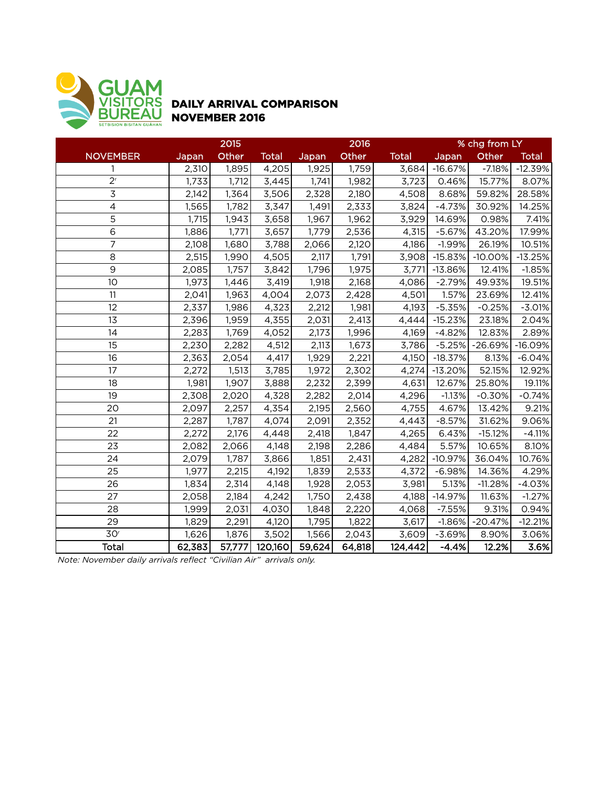

### DAILY ARRIVAL COMPARISON NOVEMBER 2016

|                 |        | 2015               |              |        | 2016   |              | % chg from LY |           |              |
|-----------------|--------|--------------------|--------------|--------|--------|--------------|---------------|-----------|--------------|
| <b>NOVEMBER</b> | Japan  | Other              | <b>Total</b> | Japan  | Other  | <b>Total</b> | Japan         | Other     | <b>Total</b> |
| 1               | 2,310  | 1,895              | 4,205        | 1,925  | 1,759  | 3,684        | $-16.67%$     | $-7.18%$  | $-12.39%$    |
| 2 <sup>r</sup>  | 1,733  | 1,712              | 3,445        | 1,741  | 1,982  | 3,723        | 0.46%         | 15.77%    | 8.07%        |
| $\overline{3}$  | 2,142  | 1,364              | 3,506        | 2,328  | 2,180  | 4,508        | 8.68%         | 59.82%    | 28.58%       |
| 4               | 1,565  | 1,782              | 3,347        | 1,491  | 2,333  | 3,824        | $-4.73%$      | 30.92%    | 14.25%       |
| 5               | 1,715  | 1,943              | 3,658        | 1,967  | 1,962  | 3,929        | 14.69%        | 0.98%     | 7.41%        |
| 6               | 1,886  | $\overline{1,771}$ | 3,657        | 1,779  | 2,536  | 4,315        | $-5.67%$      | 43.20%    | 17.99%       |
| 7               | 2,108  | 1,680              | 3,788        | 2,066  | 2,120  | 4,186        | $-1.99%$      | 26.19%    | 10.51%       |
| 8               | 2,515  | 1,990              | 4,505        | 2,117  | 1,791  | 3,908        | $-15.83%$     | $-10.00%$ | $-13.25%$    |
| 9               | 2,085  | 1,757              | 3,842        | 1,796  | 1,975  | 3,771        | $-13.86%$     | 12.41%    | $-1.85%$     |
| 10              | 1,973  | 1,446              | 3,419        | 1,918  | 2,168  | 4,086        | $-2.79%$      | 49.93%    | 19.51%       |
| 11              | 2,041  | 1,963              | 4,004        | 2,073  | 2,428  | 4,501        | 1.57%         | 23.69%    | 12.41%       |
| 12              | 2,337  | 1,986              | 4,323        | 2,212  | 1,981  | 4,193        | $-5.35%$      | $-0.25%$  | $-3.01%$     |
| 13              | 2,396  | 1,959              | 4,355        | 2,031  | 2,413  | 4,444        | $-15.23%$     | 23.18%    | 2.04%        |
| 14              | 2,283  | 1,769              | 4,052        | 2,173  | 1,996  | 4,169        | $-4.82%$      | 12.83%    | 2.89%        |
| 15              | 2,230  | 2,282              | 4,512        | 2,113  | 1,673  | 3,786        | $-5.25%$      | $-26.69%$ | $-16.09%$    |
| 16              | 2,363  | 2,054              | 4,417        | 1,929  | 2,221  | 4,150        | $-18.37%$     | 8.13%     | $-6.04%$     |
| 17              | 2,272  | $\overline{1,513}$ | 3,785        | 1,972  | 2,302  | 4,274        | $-13.20%$     | 52.15%    | 12.92%       |
| 18              | 1,981  | 1,907              | 3,888        | 2,232  | 2,399  | 4,631        | 12.67%        | 25.80%    | 19.11%       |
| 19              | 2,308  | 2,020              | 4,328        | 2,282  | 2,014  | 4,296        | $-1.13%$      | $-0.30%$  | $-0.74%$     |
| 20              | 2,097  | 2,257              | 4,354        | 2,195  | 2,560  | 4,755        | 4.67%         | 13.42%    | 9.21%        |
| 21              | 2,287  | 1,787              | 4,074        | 2,091  | 2,352  | 4,443        | $-8.57%$      | 31.62%    | 9.06%        |
| 22              | 2,272  | 2,176              | 4,448        | 2,418  | 1,847  | 4,265        | 6.43%         | $-15.12%$ | $-4.11%$     |
| 23              | 2,082  | 2,066              | 4,148        | 2,198  | 2,286  | 4,484        | 5.57%         | 10.65%    | 8.10%        |
| 24              | 2,079  | 1,787              | 3,866        | 1,851  | 2,431  | 4,282        | $-10.97%$     | 36.04%    | 10.76%       |
| 25              | 1,977  | 2,215              | 4,192        | 1,839  | 2,533  | 4,372        | $-6.98%$      | 14.36%    | 4.29%        |
| 26              | 1,834  | 2,314              | 4,148        | 1,928  | 2,053  | 3,981        | 5.13%         | $-11.28%$ | $-4.03%$     |
| 27              | 2,058  | 2,184              | 4,242        | 1,750  | 2,438  | 4,188        | $-14.97%$     | 11.63%    | $-1.27%$     |
| 28              | 1,999  | 2,031              | 4,030        | 1,848  | 2,220  | 4,068        | $-7.55%$      | 9.31%     | 0.94%        |
| 29              | 1,829  | 2,291              | 4,120        | 1,795  | 1,822  | 3,617        | $-1.86%$      | $-20.47%$ | $-12.21%$    |
| 30 <sup>r</sup> | 1,626  | 1,876              | 3,502        | 1,566  | 2,043  | 3,609        | $-3.69%$      | 8.90%     | 3.06%        |
| <b>Total</b>    | 62,383 | 57,777             | 120,160      | 59,624 | 64,818 | 124,442      | $-4.4%$       | 12.2%     | 3.6%         |

*Note: November daily arrivals reflect "Civilian Air" arrivals only.*